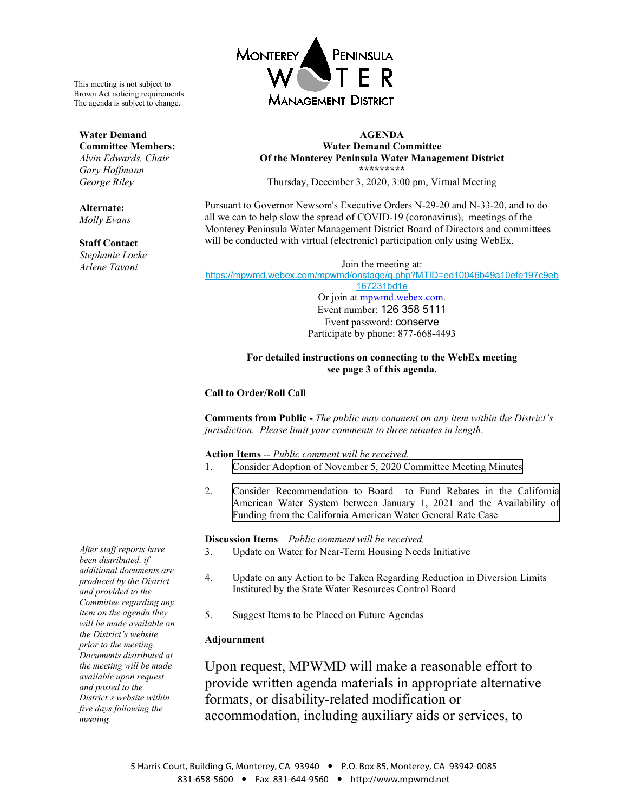

#### **AGENDA Water Demand Committee Of the Monterey Peninsula Water Management District \*\*\*\*\*\*\*\*\***

Thursday, December 3, 2020, 3:00 pm, Virtual Meeting

Pursuant to Governor Newsom's Executive Orders N-29-20 and N-33-20, and to do all we can to help slow the spread of COVID-19 (coronavirus), meetings of the Monterey Peninsula Water Management District Board of Directors and committees will be conducted with virtual (electronic) participation only using WebEx.

Join the meeting at: [https://mpwmd.webex.com/mpwmd/onstage/g.php?MTID=ed10046b49a10efe197c9eb](https://mpwmd.webex.com/mpwmd/onstage/g.php?MTID=ed10046b49a10efe197c9eb167231bd1e) [167231bd1e](https://mpwmd.webex.com/mpwmd/onstage/g.php?MTID=ed10046b49a10efe197c9eb167231bd1e)

Or join at [mpwmd.webex.com.](http://mpwmd.webex.com/) Event number: 126 358 5111 Event password: conserve Participate by phone: 877-668-4493

#### **For detailed instructions on connecting to the WebEx meeting see page 3 of this agenda.**

### **Call to Order/Roll Call**

**Comments from Public -** *The public may comment on any item within the District's jurisdiction. Please limit your comments to three minutes in length*.

**Action Items** -- *Public comment will be received.*

- 1. [Consider Adoption of November 5, 2020](#page-3-0) Committee Meeting Minutes
- 2. [Consider Recommendation to Board to Fund Rebates in the California](#page-6-0) American Water System between January 1, 2021 and the Availability of Funding from the California American Water General Rate Case

**Discussion Items** *– Public comment will be received.*

- 3. Update on Water for Near-Term Housing Needs Initiative
- 4. Update on any Action to be Taken Regarding Reduction in Diversion Limits Instituted by the State Water Resources Control Board
- 5. Suggest Items to be Placed on Future Agendas

### **Adjournment**

Upon request, MPWMD will make a reasonable effort to provide written agenda materials in appropriate alternative formats, or disability-related modification or accommodation, including auxiliary aids or services, to

**Water Demand Committee Members:** *Alvin Edwards, Chair*

This meeting is not subject to Brown Act noticing requirements. The agenda is subject to change.

*Gary Hoffmann George Riley*

**Alternate:** *Molly Evans*

**Staff Contact**

*Stephanie Locke Arlene Tavani*

*After staff reports have been distributed, if additional documents are produced by the District and provided to the Committee regarding any item on the agenda they will be made available on the District's website prior to the meeting. Documents distributed at the meeting will be made available upon request and posted to the District's website within five days following the meeting.*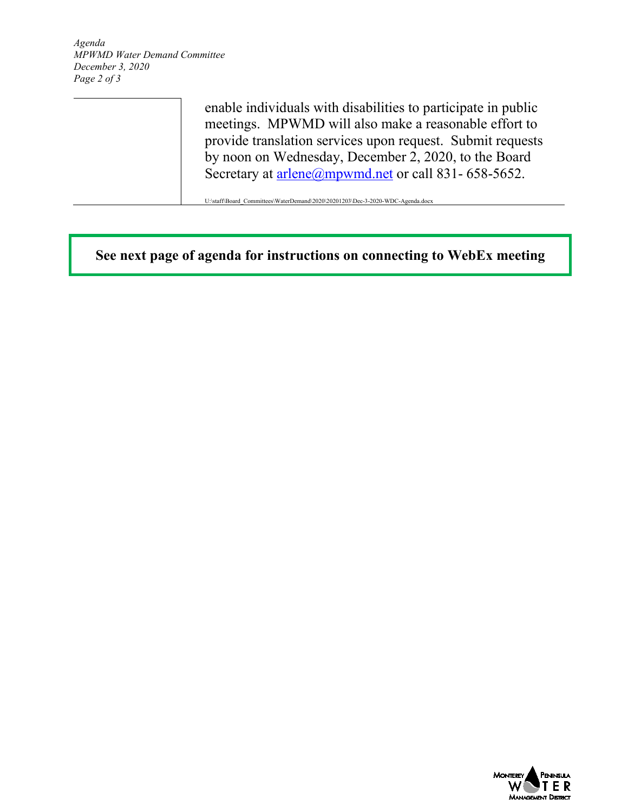*Agenda MPWMD Water Demand Committee December 3, 2020 Page 2 of 3*

> enable individuals with disabilities to participate in public meetings. MPWMD will also make a reasonable effort to provide translation services upon request. Submit requests by noon on Wednesday, December 2, 2020, to the Board Secretary at  $\frac{\text{arlene}(a)$ mpwmd.net or call 831- 658-5652.

U:\staff\Board\_Committees\WaterDemand\2020\20201203\Dec-3-2020-WDC-Agenda.docx

**See next page of agenda for instructions on connecting to WebEx meeting**

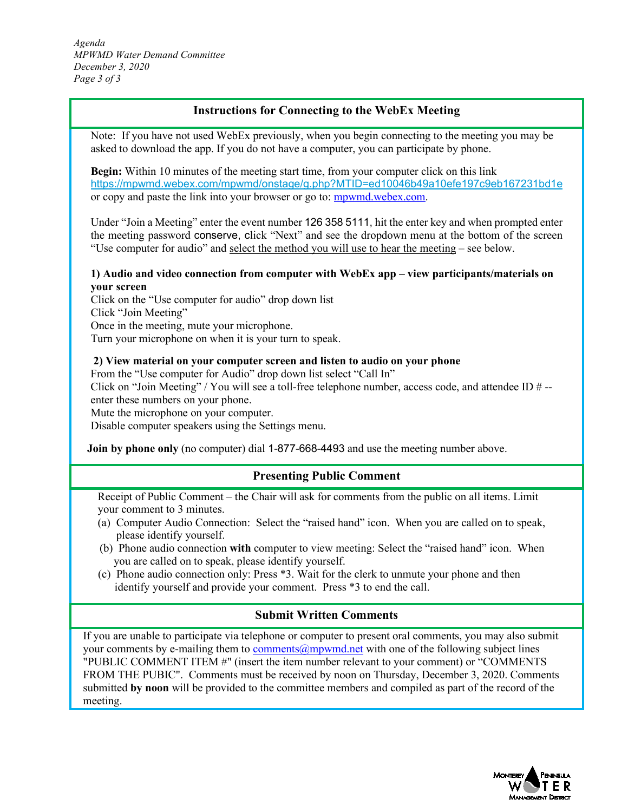*Agenda MPWMD Water Demand Committee December 3, 2020 Page 3 of 3*

# **Instructions for Connecting to the WebEx Meeting**

Note: If you have not used WebEx previously, when you begin connecting to the meeting you may be asked to download the app. If you do not have a computer, you can participate by phone.

**Begin:** Within 10 minutes of the meeting start time, from your computer click on this link <https://mpwmd.webex.com/mpwmd/onstage/g.php?MTID=ed10046b49a10efe197c9eb167231bd1e> or copy and paste the link into your browser or go to: [mpwmd.webex.com.](http://mpwmd.webex.com/)

Under "Join a Meeting" enter the event number 126 358 5111, hit the enter key and when prompted enter the meeting password conserve, click "Next" and see the dropdown menu at the bottom of the screen "Use computer for audio" and select the method you will use to hear the meeting – see below.

### **1) Audio and video connection from computer with WebEx app – view participants/materials on your screen**

Click on the "Use computer for audio" drop down list Click "Join Meeting" Once in the meeting, mute your microphone. Turn your microphone on when it is your turn to speak.

### **2) View material on your computer screen and listen to audio on your phone**

From the "Use computer for Audio" drop down list select "Call In"

Click on "Join Meeting" / You will see a toll-free telephone number, access code, and attendee ID  $\#$  -enter these numbers on your phone.

Mute the microphone on your computer.

Disable computer speakers using the Settings menu.

**Join by phone only** (no computer) dial 1-877-668-4493 and use the meeting number above.

# **Presenting Public Comment**

Receipt of Public Comment – the Chair will ask for comments from the public on all items. Limit your comment to 3 minutes.

- (a) Computer Audio Connection: Select the "raised hand" icon. When you are called on to speak, please identify yourself.
- (b) Phone audio connection **with** computer to view meeting: Select the "raised hand" icon. When you are called on to speak, please identify yourself.
- (c) Phone audio connection only: Press \*3. Wait for the clerk to unmute your phone and then identify yourself and provide your comment. Press \*3 to end the call.

# **Submit Written Comments**

If you are unable to participate via telephone or computer to present oral comments, you may also submit your comments by e-mailing them to [comments@mpwmd.net](mailto:comments@mpwmd.net) with one of the following subject lines "PUBLIC COMMENT ITEM #" (insert the item number relevant to your comment) or "COMMENTS FROM THE PUBIC". Comments must be received by noon on Thursday, December 3, 2020. Comments submitted **by noon** will be provided to the committee members and compiled as part of the record of the meeting.

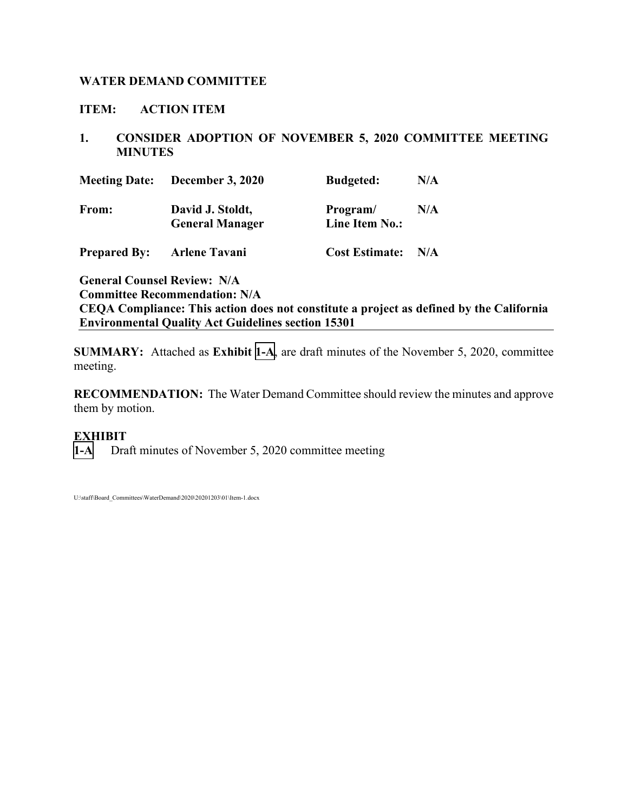# <span id="page-3-0"></span>**WATER DEMAND COMMITTEE**

# **ITEM: ACTION ITEM**

# **1. CONSIDER ADOPTION OF NOVEMBER 5, 2020 COMMITTEE MEETING MINUTES**

|                     | <b>Meeting Date:</b> December 3, 2020      | <b>Budgeted:</b>           | N/A |
|---------------------|--------------------------------------------|----------------------------|-----|
| From:               | David J. Stoldt,<br><b>General Manager</b> | Program/<br>Line Item No.: | N/A |
| <b>Prepared By:</b> | <b>Arlene Tavani</b>                       | <b>Cost Estimate:</b>      | N/A |

**General Counsel Review: N/A Committee Recommendation: N/A CEQA Compliance: This action does not constitute a project as defined by the California Environmental Quality Act Guidelines section 15301**

**SUMMARY:** Attached as **Exhibit [1-A](#page-4-0)**, are draft minutes of the November 5, 2020, committee meeting.

**RECOMMENDATION:** The Water Demand Committee should review the minutes and approve them by motion.

# **EXHIBIT**

**[1-A](#page-4-0)** Draft minutes of November 5, 2020 committee meeting

U:\staff\Board\_Committees\WaterDemand\2020\20201203\01\Item-1.docx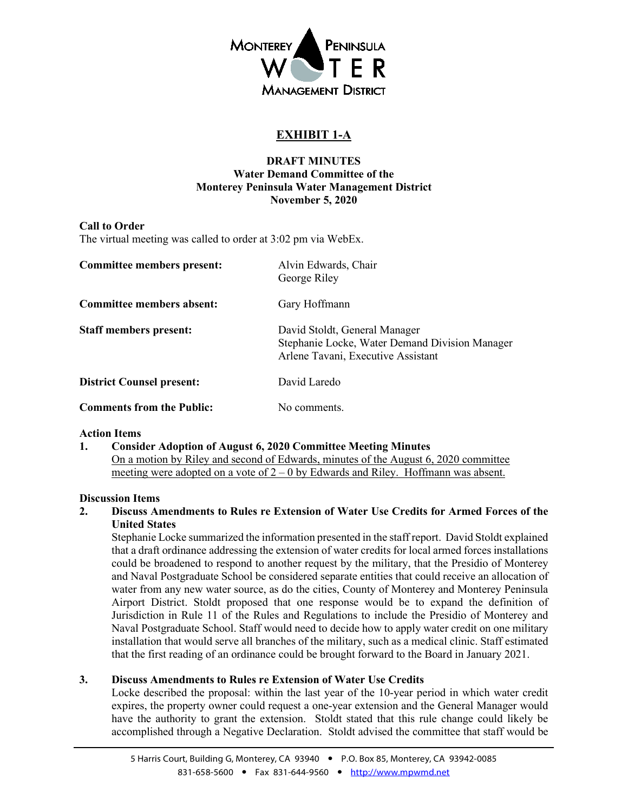<span id="page-4-0"></span>

# **EXHIBIT 1-A**

## **DRAFT MINUTES Water Demand Committee of the Monterey Peninsula Water Management District November 5, 2020**

### **Call to Order**

The virtual meeting was called to order at 3:02 pm via WebEx.

| Committee members present:       | Alvin Edwards, Chair<br>George Riley                                                                                  |
|----------------------------------|-----------------------------------------------------------------------------------------------------------------------|
| Committee members absent:        | Gary Hoffmann                                                                                                         |
| <b>Staff members present:</b>    | David Stoldt, General Manager<br>Stephanie Locke, Water Demand Division Manager<br>Arlene Tavani, Executive Assistant |
| <b>District Counsel present:</b> | David Laredo                                                                                                          |
| <b>Comments from the Public:</b> | No comments.                                                                                                          |

### **Action Items**

**1. Consider Adoption of August 6, 2020 Committee Meeting Minutes** On a motion by Riley and second of Edwards, minutes of the August 6, 2020 committee meeting were adopted on a vote of  $2 - 0$  by Edwards and Riley. Hoffmann was absent.

### **Discussion Items**

**2. Discuss Amendments to Rules re Extension of Water Use Credits for Armed Forces of the United States**

Stephanie Locke summarized the information presented in the staff report. David Stoldt explained that a draft ordinance addressing the extension of water credits for local armed forces installations could be broadened to respond to another request by the military, that the Presidio of Monterey and Naval Postgraduate School be considered separate entities that could receive an allocation of water from any new water source, as do the cities, County of Monterey and Monterey Peninsula Airport District. Stoldt proposed that one response would be to expand the definition of Jurisdiction in Rule 11 of the Rules and Regulations to include the Presidio of Monterey and Naval Postgraduate School. Staff would need to decide how to apply water credit on one military installation that would serve all branches of the military, such as a medical clinic. Staff estimated that the first reading of an ordinance could be brought forward to the Board in January 2021.

### **3. Discuss Amendments to Rules re Extension of Water Use Credits**

Locke described the proposal: within the last year of the 10-year period in which water credit expires, the property owner could request a one-year extension and the General Manager would have the authority to grant the extension. Stoldt stated that this rule change could likely be accomplished through a Negative Declaration. Stoldt advised the committee that staff would be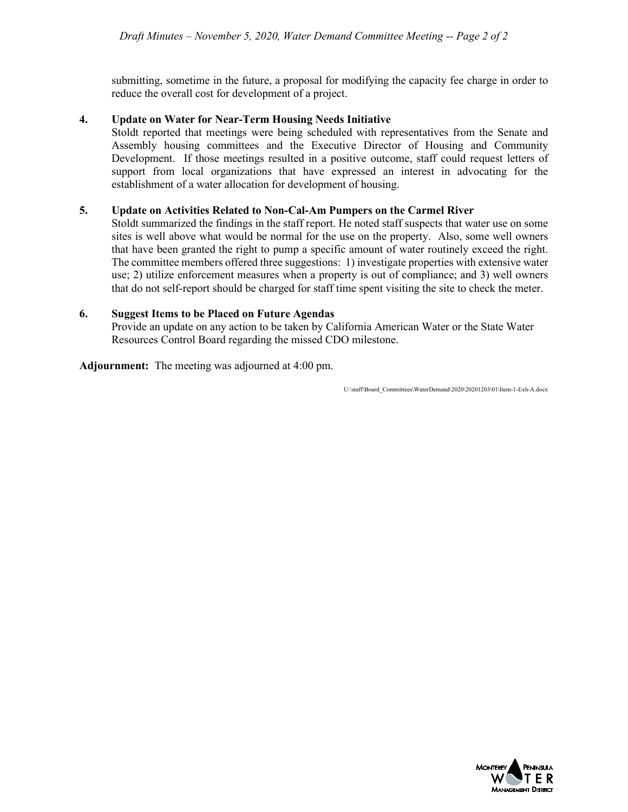submitting, sometime in the future, a proposal for modifying the capacity fee charge in order to reduce the overall cost for development of a project.

### **4. Update on Water for Near-Term Housing Needs Initiative**

Stoldt reported that meetings were being scheduled with representatives from the Senate and Assembly housing committees and the Executive Director of Housing and Community Development. If those meetings resulted in a positive outcome, staff could request letters of support from local organizations that have expressed an interest in advocating for the establishment of a water allocation for development of housing.

### **5. Update on Activities Related to Non-Cal-Am Pumpers on the Carmel River**

Stoldt summarized the findings in the staff report. He noted staff suspects that water use on some sites is well above what would be normal for the use on the property. Also, some well owners that have been granted the right to pump a specific amount of water routinely exceed the right. The committee members offered three suggestions: 1) investigate properties with extensive water use; 2) utilize enforcement measures when a property is out of compliance; and 3) well owners that do not self-report should be charged for staff time spent visiting the site to check the meter.

### **6. Suggest Items to be Placed on Future Agendas**

Provide an update on any action to be taken by California American Water or the State Water Resources Control Board regarding the missed CDO milestone.

**Adjournment:** The meeting was adjourned at 4:00 pm.

U:\staff\Board\_Committees\WaterDemand\2020\20201203\01\Item-1-Exh-A.docx

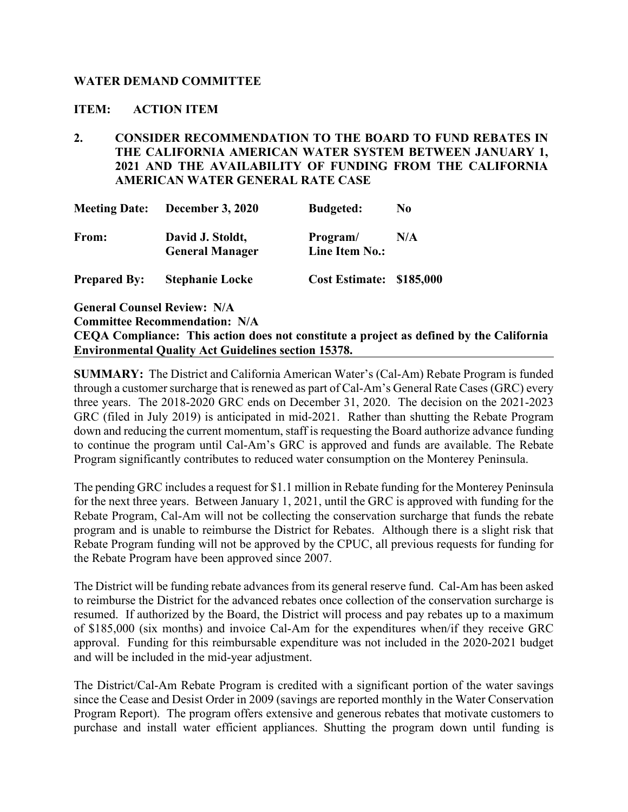# <span id="page-6-0"></span>**WATER DEMAND COMMITTEE**

## **ITEM: ACTION ITEM**

**2. CONSIDER RECOMMENDATION TO THE BOARD TO FUND REBATES IN THE CALIFORNIA AMERICAN WATER SYSTEM BETWEEN JANUARY 1, 2021 AND THE AVAILABILITY OF FUNDING FROM THE CALIFORNIA AMERICAN WATER GENERAL RATE CASE** 

| <b>Meeting Date:</b> | <b>December 3, 2020</b>                    | <b>Budgeted:</b>           | N <sub>0</sub> |
|----------------------|--------------------------------------------|----------------------------|----------------|
| From:                | David J. Stoldt,<br><b>General Manager</b> | Program/<br>Line Item No.: | N/A            |
| <b>Prepared By:</b>  | <b>Stephanie Locke</b>                     | Cost Estimate: \$185,000   |                |

**General Counsel Review: N/A**

**Committee Recommendation: N/A**

**CEQA Compliance: This action does not constitute a project as defined by the California Environmental Quality Act Guidelines section 15378.**

**SUMMARY:** The District and California American Water's (Cal-Am) Rebate Program is funded through a customer surcharge that is renewed as part of Cal-Am's General Rate Cases (GRC) every three years. The 2018-2020 GRC ends on December 31, 2020. The decision on the 2021-2023 GRC (filed in July 2019) is anticipated in mid-2021. Rather than shutting the Rebate Program down and reducing the current momentum, staff is requesting the Board authorize advance funding to continue the program until Cal-Am's GRC is approved and funds are available. The Rebate Program significantly contributes to reduced water consumption on the Monterey Peninsula.

The pending GRC includes a request for \$1.1 million in Rebate funding for the Monterey Peninsula for the next three years. Between January 1, 2021, until the GRC is approved with funding for the Rebate Program, Cal-Am will not be collecting the conservation surcharge that funds the rebate program and is unable to reimburse the District for Rebates. Although there is a slight risk that Rebate Program funding will not be approved by the CPUC, all previous requests for funding for the Rebate Program have been approved since 2007.

The District will be funding rebate advances from its general reserve fund. Cal-Am has been asked to reimburse the District for the advanced rebates once collection of the conservation surcharge is resumed. If authorized by the Board, the District will process and pay rebates up to a maximum of \$185,000 (six months) and invoice Cal-Am for the expenditures when/if they receive GRC approval. Funding for this reimbursable expenditure was not included in the 2020-2021 budget and will be included in the mid-year adjustment.

The District/Cal-Am Rebate Program is credited with a significant portion of the water savings since the Cease and Desist Order in 2009 (savings are reported monthly in the Water Conservation Program Report). The program offers extensive and generous rebates that motivate customers to purchase and install water efficient appliances. Shutting the program down until funding is